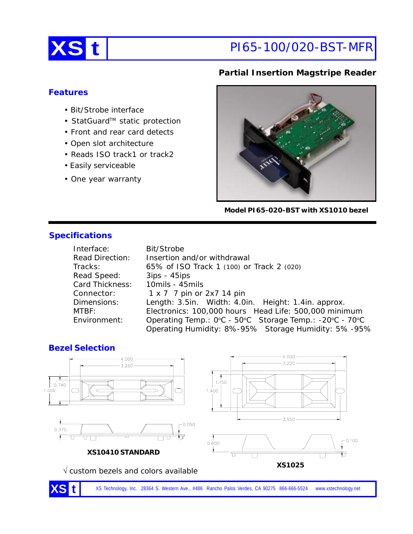

# **XS t** PI65-100/020-BST-MFR

# **Partial Insertion Magstripe Reader**

### **Features**

- Bit/Strobe interface
- StatGuard™ static protection
- Front and rear card detects
- Open slot architecture
- Reads ISO track1 or track2
- Easily serviceable
- One year warranty



**Model PI65-020-BST with XS1010 bezel**

# **Specifications**

| Interface:             | Bit/Strobe                                              |  |
|------------------------|---------------------------------------------------------|--|
| <b>Read Direction:</b> | Insertion and/or withdrawal                             |  |
| Tracks:                | 65% of ISO Track 1 (100) or Track 2 (020)               |  |
| Read Speed:            | $3ips - 45ips$                                          |  |
| Card Thickness:        | 10mils - 45mils                                         |  |
| Connector:             | 1 x 7 7 pin or 2x7 14 pin                               |  |
| Dimensions:            | Length: 3.5in. Width: 4.0in. Height: 1.4in. approx.     |  |
| MTBF:                  | Electronics: 100,000 hours Head Life: 500,000 minimum   |  |
| Environment:           | Operating Temp.: 0°C - 50°C Storage Temp.: -20°C - 70°C |  |
|                        | Operating Humidity: 8%-95% Storage Humidity: 5%-95%     |  |

### **Bezel Selection**



XS Technology, Inc. 28364 S. Western Ave., #486 Rancho Palos Verdes, CA 90275 866-666-5524 www.xstechnology.net